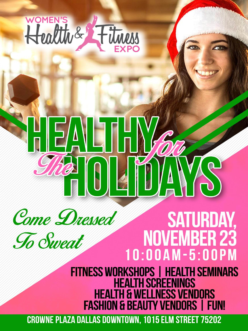

# EALTH



# **SATURDAY, NOVEMBER 23** 10:00AM-5:00PM

FITNESS WORKSHOPS | HEALTH SEMINARS **HEALTH SCREENINGS HEALTH & WELLNESS VENDORS FASHION & BEAUTY VENDORS | FUN!** 

**CROWNE PLAZA DALLAS DOWNTOWN, 1015 ELM STREET 75202**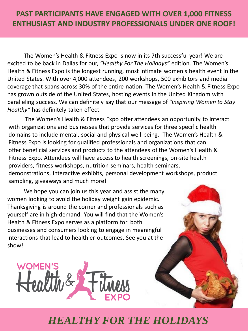### **PAST PARTICIPANTS HAVE ENGAGED WITH OVER 1,000 FITNESS ENTHUSIAST AND INDUSTRY PROFESSIONALS UNDER ONE ROOF!**

The Women's Health & Fitness Expo is now in its 7th successful year! We are excited to be back in Dallas for our, *"Healthy For The Holidays"* edition. The Women's Health & Fitness Expo is the longest running, most intimate women's health event in the United States. With over 4,000 attendees, 200 workshops, 500 exhibitors and media coverage that spans across 30% of the entire nation. The Women's Health & Fitness Expo has grown outside of the United States, hosting events in the United Kingdom with paralleling success. We can definitely say that our message of *"Inspiring Women to Stay Healthy"* has definitely taken effect.

The Women's Health & Fitness Expo offer attendees an opportunity to interact with organizations and businesses that provide services for three specific health domains to include mental, social and physical well-being. The Women's Health & Fitness Expo is looking for qualified professionals and organizations that can offer beneficial services and products to the attendees of the Women's Health & Fitness Expo. Attendees will have access to health screenings, on-site health providers, fitness workshops, nutrition seminars, health seminars, demonstrations, interactive exhibits, personal development workshops, product sampling, giveaways and much more!

We hope you can join us this year and assist the many women looking to avoid the holiday weight gain epidemic. Thanksgiving is around the corner and professionals such as yourself are in high-demand. You will find that the Women's Health & Fitness Expo serves as a platform for both businesses and consumers looking to engage in meaningful interactions that lead to healthier outcomes. See you at the show!



## *HEALTHY FOR THE HOLIDAYS*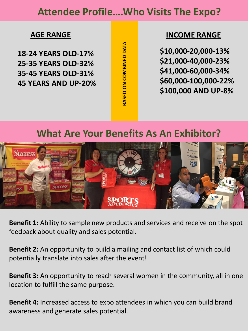### **Attendee Profile….Who Visits The Expo?**

**18-24 YEARS OLD-17% 25-35 YEARS OLD-32% 35-45 YEARS OLD-31% 45 YEARS AND UP-20%** **ARSED ON COMBINED DATA BASED ON COMBINED DATA**

### **AGE RANGE INCOME RANGE**

**\$10,000-20,000-13% \$21,000-40,000-23% \$41,000-60,000-34% \$60,000-100,000-22% \$100,000 AND UP-8%**

### **What Are Your Benefits As An Exhibitor?**



**Benefit 1:** Ability to sample new products and services and receive on the spot feedback about quality and sales potential.

**Benefit 2:** An opportunity to build a mailing and contact list of which could potentially translate into sales after the event!

**Benefit 3:** An opportunity to reach several women in the community, all in one location to fulfill the same purpose.

**Benefit 4:** Increased access to expo attendees in which you can build brand awareness and generate sales potential.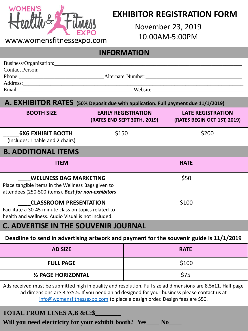

### **EXHIBITOR REGISTRATION FORM**

November 23, 2019 10:00AM-5:00PM

### **INFORMATION**

| Business/Organization: |                   |                                                             |
|------------------------|-------------------|-------------------------------------------------------------|
| <b>Contact Person:</b> |                   |                                                             |
| Phone:                 | Alternate Number: |                                                             |
| Address:               |                   |                                                             |
| Email:                 | Website:          | <u> 1980 - Jan Sterling, amerikansk politiker (d. 1980)</u> |
|                        |                   |                                                             |

### **A. EXHIBITOR RATES (50% Deposit due with application. Full payment due 11/1/2019)**

| <b>BOOTH SIZE</b>                                                                                                                           | <b>EARLY REGISTRATION</b><br>(RATES END SEPT 30TH, 2019) |             | <b>LATE REGISTRATION</b><br>(RATES BEGIN OCT 1ST, 2019) |  |
|---------------------------------------------------------------------------------------------------------------------------------------------|----------------------------------------------------------|-------------|---------------------------------------------------------|--|
| <b>6X6 EXHIBIT BOOTH</b><br>(Includes: 1 table and 2 chairs)                                                                                | \$150                                                    |             | \$200                                                   |  |
| <b>B. ADDITIONAL ITEMS</b>                                                                                                                  |                                                          |             |                                                         |  |
| <b>ITEM</b>                                                                                                                                 |                                                          | <b>RATE</b> |                                                         |  |
| <b>WELLNESS BAG MARKETING</b><br>Place tangible items in the Wellness Bags given to<br>attendees (250-500 items). Best for non-exhibitors   |                                                          | \$50        |                                                         |  |
| <b>CLASSROOM PRESENTATION</b><br>Facilitate a 30-45 minute class on topics related to<br>health and wellness. Audio Visual is not included. |                                                          | \$100       |                                                         |  |

### **C. ADVERTISE IN THE SOUVENIR JOURNAL**

### **Deadline to send in advertising artwork and payment for the souvenir guide is 11/1/2019**

| <b>AD SIZE</b>      | <b>RATE</b> |
|---------------------|-------------|
| <b>FULL PAGE</b>    | \$100       |
| 1/2 PAGE HORIZONTAL | \$75        |

Ads received must be submitted high in quality and resolution. Full size ad dimensions are 8.5x11. Half page ad dimensions are 8.5x5.5. If you need an ad designed for your business please contact us at [info@womensfitnessexpo.com](mailto:info@womensfitnessexpo.com) to place a design order. Design fees are \$50.

### **TOTAL FROM LINES A,B &C:\$\_\_\_\_\_\_\_\_**

Will you need electricity for your exhibit booth? Yes **No**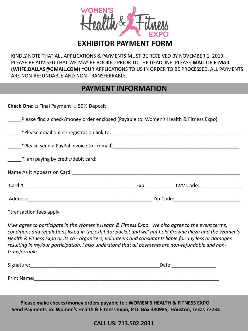

### **EXHIBITOR PAYMENT FORM**

KINDLY NOTE THAT ALL APPLICATIONS & PAYMENTS MUST BE RECEIVED BY NOVEMBER 1, 2019. PLEASE BE ADVISED THAT WE MAY BE BOOKED PRIOR TO THE DEADLINE. PLEASE **MAIL** OR **E-MAIL (WHFE.DALLAS@GMAIL.COM)** YOUR APPLICATIONS TO US IN ORDER TO BE PROCESSED. ALL PAYMENTS ARE NON-REFUNDABLE AND NON-TRANSFERRABLE.

### **PAYMENT INFORMATION**

| <b>Check One:</b> $\Box$ Final Payment $\Box$ 50% Deposit                                                                                                                                                                                                                                                                                                                                                                      |  |  |  |
|--------------------------------------------------------------------------------------------------------------------------------------------------------------------------------------------------------------------------------------------------------------------------------------------------------------------------------------------------------------------------------------------------------------------------------|--|--|--|
| Please find a check/money order enclosed (Payable to: Women's Health & Fitness Expo)                                                                                                                                                                                                                                                                                                                                           |  |  |  |
|                                                                                                                                                                                                                                                                                                                                                                                                                                |  |  |  |
|                                                                                                                                                                                                                                                                                                                                                                                                                                |  |  |  |
| *I am paying by credit/debit card:                                                                                                                                                                                                                                                                                                                                                                                             |  |  |  |
|                                                                                                                                                                                                                                                                                                                                                                                                                                |  |  |  |
|                                                                                                                                                                                                                                                                                                                                                                                                                                |  |  |  |
|                                                                                                                                                                                                                                                                                                                                                                                                                                |  |  |  |
| *transaction fees apply                                                                                                                                                                                                                                                                                                                                                                                                        |  |  |  |
| I/we agree to participate in the Women's Health & Fitness Expo. We also agree to the event terms,<br>conditions and regulations listed in the exhibitor packet and will not hold Crowne Plaza and the Women's<br>Health & Fitness Expo or its co - organizers, volunteers and consultants liable for any loss or damages<br>resulting in my/our participation. I also understand that all payments are non-refundable and non- |  |  |  |

*transferrable.*

Signature:\_\_\_\_\_\_\_\_\_\_\_\_\_\_\_\_\_\_\_\_\_\_\_\_\_\_\_\_\_\_\_\_\_\_\_\_\_\_\_\_\_\_\_\_\_\_\_Date:\_\_\_\_\_\_\_\_\_\_\_\_\_\_\_\_

Print Name:

**Please make checks/money orders payable to : WOMEN'S HEALTH & FITNESS EXPO Send Payments To: Women's Health & Fitness Expo, P.O. Box 330985, Houston, Texas 77233** 

**CALL US: 713.502.2031**